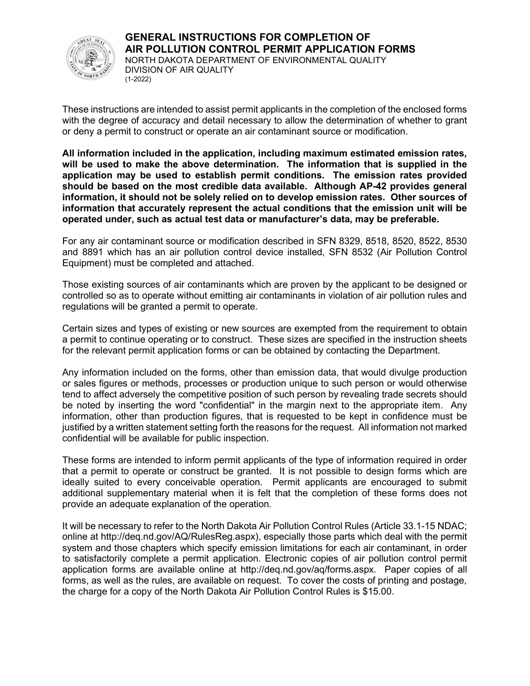

These instructions are intended to assist permit applicants in the completion of the enclosed forms with the degree of accuracy and detail necessary to allow the determination of whether to grant or deny a permit to construct or operate an air contaminant source or modification.

All information included in the application, including maximum estimated emission rates, will be used to make the above determination. The information that is supplied in the application may be used to establish permit conditions. The emission rates provided should be based on the most credible data available. Although AP-42 provides general information, it should not be solely relied on to develop emission rates. Other sources of information that accurately represent the actual conditions that the emission unit will be operated under, such as actual test data or manufacturer's data, may be preferable.

For any air contaminant source or modification described in SFN 8329, 8518, 8520, 8522, 8530 and 8891 which has an air pollution control device installed, SFN 8532 (Air Pollution Control Equipment) must be completed and attached.

Those existing sources of air contaminants which are proven by the applicant to be designed or controlled so as to operate without emitting air contaminants in violation of air pollution rules and regulations will be granted a permit to operate.

Certain sizes and types of existing or new sources are exempted from the requirement to obtain a permit to continue operating or to construct. These sizes are specified in the instruction sheets for the relevant permit application forms or can be obtained by contacting the Department.

Any information included on the forms, other than emission data, that would divulge production or sales figures or methods, processes or production unique to such person or would otherwise tend to affect adversely the competitive position of such person by revealing trade secrets should be noted by inserting the word "confidential" in the margin next to the appropriate item. Any information, other than production figures, that is requested to be kept in confidence must be justified by a written statement setting forth the reasons for the request. All information not marked confidential will be available for public inspection.

These forms are intended to inform permit applicants of the type of information required in order that a permit to operate or construct be granted. It is not possible to design forms which are ideally suited to every conceivable operation. Permit applicants are encouraged to submit additional supplementary material when it is felt that the completion of these forms does not provide an adequate explanation of the operation.

It will be necessary to refer to the North Dakota Air Pollution Control Rules (Article 33.1-15 NDAC; online at http://deq.nd.gov/AQ/RulesReg.aspx), especially those parts which deal with the permit system and those chapters which specify emission limitations for each air contaminant, in order to satisfactorily complete a permit application. Electronic copies of air pollution control permit application forms are available online at http://deq.nd.gov/aq/forms.aspx. Paper copies of all forms, as well as the rules, are available on request. To cover the costs of printing and postage, the charge for a copy of the North Dakota Air Pollution Control Rules is \$15.00.